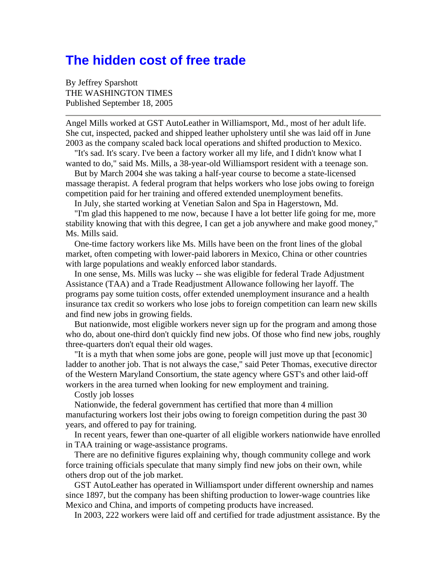## **The hidden cost of free trade**

By Jeffrey Sparshott THE WASHINGTON TIMES Published September 18, 2005

Angel Mills worked at GST AutoLeather in Williamsport, Md., most of her adult life. She cut, inspected, packed and shipped leather upholstery until she was laid off in June 2003 as the company scaled back local operations and shifted production to Mexico.

 "It's sad. It's scary. I've been a factory worker all my life, and I didn't know what I wanted to do," said Ms. Mills, a 38-year-old Williamsport resident with a teenage son.

 But by March 2004 she was taking a half-year course to become a state-licensed massage therapist. A federal program that helps workers who lose jobs owing to foreign competition paid for her training and offered extended unemployment benefits.

In July, she started working at Venetian Salon and Spa in Hagerstown, Md.

 "I'm glad this happened to me now, because I have a lot better life going for me, more stability knowing that with this degree, I can get a job anywhere and make good money," Ms. Mills said.

 One-time factory workers like Ms. Mills have been on the front lines of the global market, often competing with lower-paid laborers in Mexico, China or other countries with large populations and weakly enforced labor standards.

 In one sense, Ms. Mills was lucky -- she was eligible for federal Trade Adjustment Assistance (TAA) and a Trade Readjustment Allowance following her layoff. The programs pay some tuition costs, offer extended unemployment insurance and a health insurance tax credit so workers who lose jobs to foreign competition can learn new skills and find new jobs in growing fields.

But nationwide, most eligible workers never sign up for the program and among those who do, about one-third don't quickly find new jobs. Of those who find new jobs, roughly three-quarters don't equal their old wages.

 "It is a myth that when some jobs are gone, people will just move up that [economic] ladder to another job. That is not always the case," said Peter Thomas, executive director of the Western Maryland Consortium, the state agency where GST's and other laid-off workers in the area turned when looking for new employment and training.

Costly job losses

 Nationwide, the federal government has certified that more than 4 million manufacturing workers lost their jobs owing to foreign competition during the past 30 years, and offered to pay for training.

 In recent years, fewer than one-quarter of all eligible workers nationwide have enrolled in TAA training or wage-assistance programs.

 There are no definitive figures explaining why, though community college and work force training officials speculate that many simply find new jobs on their own, while others drop out of the job market.

 GST AutoLeather has operated in Williamsport under different ownership and names since 1897, but the company has been shifting production to lower-wage countries like Mexico and China, and imports of competing products have increased.

In 2003, 222 workers were laid off and certified for trade adjustment assistance. By the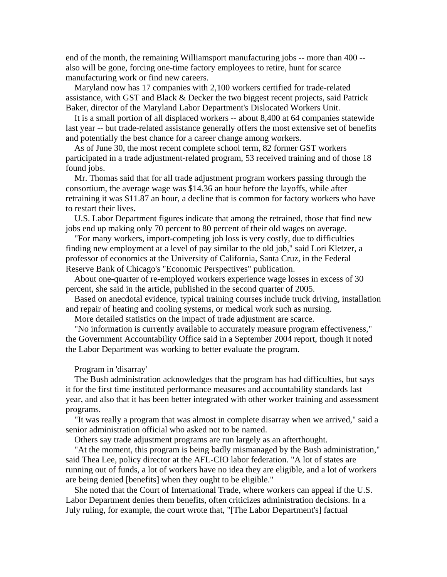end of the month, the remaining Williamsport manufacturing jobs -- more than 400 - also will be gone, forcing one-time factory employees to retire, hunt for scarce manufacturing work or find new careers.

 Maryland now has 17 companies with 2,100 workers certified for trade-related assistance, with GST and Black & Decker the two biggest recent projects, said Patrick Baker, director of the Maryland Labor Department's Dislocated Workers Unit.

 It is a small portion of all displaced workers -- about 8,400 at 64 companies statewide last year -- but trade-related assistance generally offers the most extensive set of benefits and potentially the best chance for a career change among workers.

As of June 30, the most recent complete school term, 82 former GST workers participated in a trade adjustment-related program, 53 received training and of those 18 found jobs.

Mr. Thomas said that for all trade adjustment program workers passing through the consortium, the average wage was \$14.36 an hour before the layoffs, while after retraining it was \$11.87 an hour, a decline that is common for factory workers who have to restart their lives**.**

 U.S. Labor Department figures indicate that among the retrained, those that find new jobs end up making only 70 percent to 80 percent of their old wages on average.

 "For many workers, import-competing job loss is very costly, due to difficulties finding new employment at a level of pay similar to the old job," said Lori Kletzer, a professor of economics at the University of California, Santa Cruz, in the Federal Reserve Bank of Chicago's "Economic Perspectives" publication.

 About one-quarter of re-employed workers experience wage losses in excess of 30 percent, she said in the article, published in the second quarter of 2005.

 Based on anecdotal evidence, typical training courses include truck driving, installation and repair of heating and cooling systems, or medical work such as nursing.

More detailed statistics on the impact of trade adjustment are scarce.

 "No information is currently available to accurately measure program effectiveness," the Government Accountability Office said in a September 2004 report, though it noted the Labor Department was working to better evaluate the program.

Program in 'disarray'

 The Bush administration acknowledges that the program has had difficulties, but says it for the first time instituted performance measures and accountability standards last year, and also that it has been better integrated with other worker training and assessment programs.

 "It was really a program that was almost in complete disarray when we arrived," said a senior administration official who asked not to be named.

Others say trade adjustment programs are run largely as an afterthought.

 "At the moment, this program is being badly mismanaged by the Bush administration," said Thea Lee, policy director at the AFL-CIO labor federation. "A lot of states are running out of funds, a lot of workers have no idea they are eligible, and a lot of workers are being denied [benefits] when they ought to be eligible."

 She noted that the Court of International Trade, where workers can appeal if the U.S. Labor Department denies them benefits, often criticizes administration decisions. In a July ruling, for example, the court wrote that, "[The Labor Department's] factual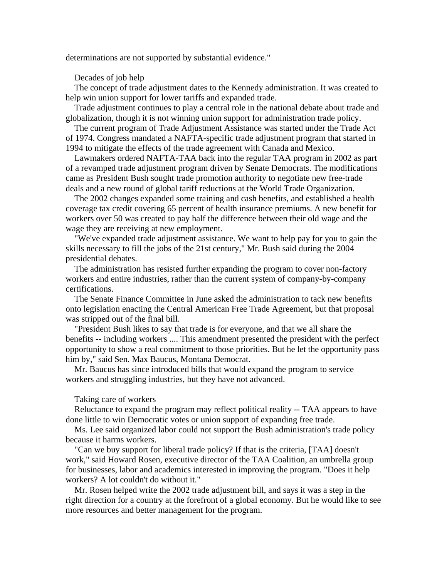determinations are not supported by substantial evidence."

## Decades of job help

 The concept of trade adjustment dates to the Kennedy administration. It was created to help win union support for lower tariffs and expanded trade.

 Trade adjustment continues to play a central role in the national debate about trade and globalization, though it is not winning union support for administration trade policy.

 The current program of Trade Adjustment Assistance was started under the Trade Act of 1974. Congress mandated a NAFTA-specific trade adjustment program that started in 1994 to mitigate the effects of the trade agreement with Canada and Mexico.

 Lawmakers ordered NAFTA-TAA back into the regular TAA program in 2002 as part of a revamped trade adjustment program driven by Senate Democrats. The modifications came as President Bush sought trade promotion authority to negotiate new free-trade deals and a new round of global tariff reductions at the World Trade Organization.

 The 2002 changes expanded some training and cash benefits, and established a health coverage tax credit covering 65 percent of health insurance premiums. A new benefit for workers over 50 was created to pay half the difference between their old wage and the wage they are receiving at new employment.

 "We've expanded trade adjustment assistance. We want to help pay for you to gain the skills necessary to fill the jobs of the 21st century," Mr. Bush said during the 2004 presidential debates.

 The administration has resisted further expanding the program to cover non-factory workers and entire industries, rather than the current system of company-by-company certifications.

 The Senate Finance Committee in June asked the administration to tack new benefits onto legislation enacting the Central American Free Trade Agreement, but that proposal was stripped out of the final bill.

 "President Bush likes to say that trade is for everyone, and that we all share the benefits -- including workers .... This amendment presented the president with the perfect opportunity to show a real commitment to those priorities. But he let the opportunity pass him by," said Sen. Max Baucus, Montana Democrat.

 Mr. Baucus has since introduced bills that would expand the program to service workers and struggling industries, but they have not advanced.

## Taking care of workers

 Reluctance to expand the program may reflect political reality -- TAA appears to have done little to win Democratic votes or union support of expanding free trade.

 Ms. Lee said organized labor could not support the Bush administration's trade policy because it harms workers.

 "Can we buy support for liberal trade policy? If that is the criteria, [TAA] doesn't work," said Howard Rosen, executive director of the TAA Coalition, an umbrella group for businesses, labor and academics interested in improving the program. "Does it help workers? A lot couldn't do without it."

 Mr. Rosen helped write the 2002 trade adjustment bill, and says it was a step in the right direction for a country at the forefront of a global economy. But he would like to see more resources and better management for the program.